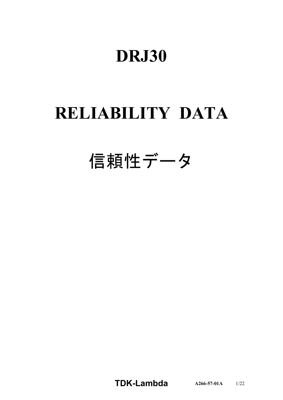# **DRJ30**

# **RELIABILITY DATA**

# 信頼性データ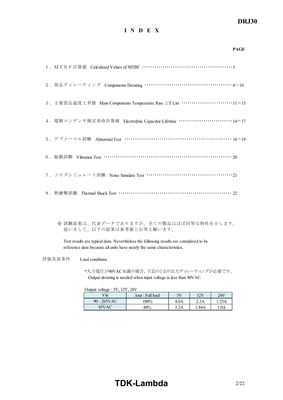## *DRJ30*

#### **I N D E X**

| <b>PAGE</b>                                                            |  |
|------------------------------------------------------------------------|--|
|                                                                        |  |
| 2. 部品ディレーティング Components Derating ……………………………………………4~10                |  |
| 3. 主要部品温度上昇值 Main Components Temperature Rise AT List ……………………………11~13 |  |
| 4. 電解コンデンサ推定寿命計算値 Electrolytic Capacitor Lifetime ………………………… 14~17     |  |
| 5. アブノーマル試験 Abnormal Test …………………………………………………… 18~19                   |  |
|                                                                        |  |
| 7. ノイズシミュレート試験 Noise Simulate Test ……………………………………………………………21           |  |
|                                                                        |  |

※ 試験結果は、代表データでありますが、全ての製品はほぼ同等な特性を示します。 従いまして、以下の結果は参考値とお考え願います。

Test results are typical data. Nevertheless the following results are considered to be reference data because all units have nearly the same characteristics.

評価負荷条件 Load conditions

\*入力電圧が90VAC未満の場合、下記のとおり出力ディレーティングが必要です。 Output derating is needed when input voltage is less than 90VAC.

Output voltage : 5V, 12V, 24V

| $V_{\rm{m}}$ | Iout : Full load | 5V   | 12V  | 24V  |
|--------------|------------------|------|------|------|
| 90 - 265VAC  | 100%             | 4.0A | 2.3A | .25A |
| 85VAC        | 80%              | 3.2A | .84A | .0A  |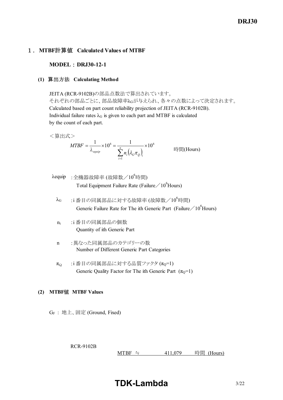## 1.**MTBF**計算値 **Calculated Values of MTBF**

**MODEL : DRJ30-12-1** 

#### **(1)** 算出方法 **Calculating Method**

JEITA (RCR-9102B)の部品点数法で算出されています。 それぞれの部品ごとに、部品故障率λGが与えられ、各々の点数によって決定されます。 Calculated based on part count reliability projection of JEITA (RCR-9102B). Individual failure rates  $\lambda$ G is given to each part and MTBF is calculated by the count of each part.

<算出式>

$$
MTBF = \frac{1}{\lambda_{\text{equip}}} \times 10^6 = \frac{1}{\sum_{i=1}^n n_i (\lambda_{\text{c}} \pi_{\text{c}})_i} \times 10^6
$$
 \n
$$
\text{Hil}(\text{Hours})
$$

- $\lambda$ equip : 全機器故障率 (故障数/10<sup>6</sup>時間) Total Equipment Failure Rate (Failure  $/10^6$ Hours)
	- $\lambda$ G :i番目の同属部品に対する故障率 (故障数/ $10^6$ 時間) Generic Failure Rate for The ith Generic Part (Failure  $/10^6$  Hours)
	- n<sup>i</sup> :i 番目の同属部品の個数 Quantity of ith Generic Part
	- n :異なった同属部品のカテゴリーの数 Number of Different Generic Part Categories
	- $\pi_{\Omega}$  :i 番目の同属部品に対する品質ファクタ  $(\pi_{\Omega}=1)$ Generic Quality Factor for The ith Generic Part  $(\pi_0=1)$

#### **(2) MTBF**値 **MTBF Values**

GF : 地上、固定 (Ground, Fixed)

RCR-9102B

MTBF ≒ 411,079 時間 (Hours)

**TDKLambda** 3/22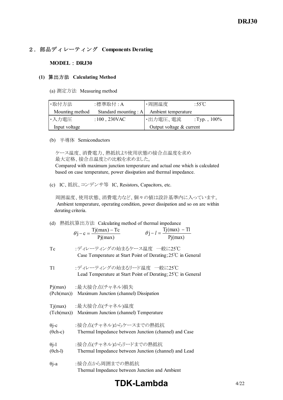## 2.部品ディレーティング **Components Derating**

#### **MODEL** : **DRJ30**

#### **(1)** 算出方法 **Calculating Method**

(a) 測定方法 Measuring method

| ・取付方法           | :標準取付 : A     | ・周囲温度                                       | :55°C |  |
|-----------------|---------------|---------------------------------------------|-------|--|
| Mounting method |               | Standard mounting : A   Ambient temperature |       |  |
| ・入力電圧           | :100 , 230VAC | ・出力電圧、電流<br>:Typ., $100\%$                  |       |  |
| Input voltage   |               | Output voltage $&$ current                  |       |  |

#### (b) 半導体 Semiconductors

 ケース温度、消費電力、熱抵抗より使用状態の接合点温度を求め 最大定格、接合点温度との比較を求めました。

 Compared with maximum junction temperature and actual one which is calculated based on case temperature, power dissipation and thermal impedance.

(c) IC、抵抗、コンデンサ等 IC, Resistors, Capacitors, etc.

 周囲温度、使用状態、消費電力など、個々の値は設計基準内に入っています。 Ambient temperature, operating condition, power dissipation and so on are within derating criteria.

(d) 熱抵抗算出方法 Calculating method of thermal impedance

| $\theta$ j – c = $\frac{Tj(max) - Tc}{Tj(x)}$ | $\theta$ j – $l = \frac{Tj(max) - Tl}{T}$ |
|-----------------------------------------------|-------------------------------------------|
| Pj(max)                                       | Pj(max)                                   |
|                                               |                                           |

| Tc | :ディレーティングの始まるケース温度 一般に25℃                                              |
|----|------------------------------------------------------------------------|
|    | Case Temperature at Start Point of Derating; $25^{\circ}$ C in General |
|    |                                                                        |

Tl :ディレーティングの始まるリード温度 一般に25℃ Lead Temperature at Start Point of Derating;25℃ in General

Pj(max) :最大接合点(チャネル)損失

(Pch(max)) Maximum Junction (channel) Dissipation

Tj(max) :最大接合点(チャネル)温度

(Tch(max)) Maximum Junction (channel) Temperature

| $\theta$ j-c    | :接合点(チャネル)からケースまでの熱抵抗                                 |
|-----------------|-------------------------------------------------------|
| $(\theta$ ch-c) | Thermal Impedance between Junction (channel) and Case |

| $\theta$ j-l | :接合点(チャネル)からリードまでの熱抵抗 |  |
|--------------|-----------------------|--|
|--------------|-----------------------|--|

(θch-l) Thermal Impedance between Junction (channel) and Lead

θj-a :接合点から周囲までの熱抵抗 Thermal Impedance between Junction and Ambient

## **TDK-Lambda**  $4/22$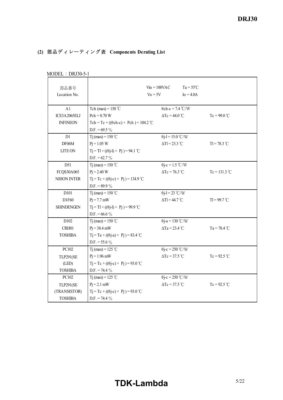## **(2)** 部品ディレーティング表 **Components Derating List**

| MUDLL + DNJ90-9-1    |                                                     |                                |                                   |                      |
|----------------------|-----------------------------------------------------|--------------------------------|-----------------------------------|----------------------|
| 部品番号<br>Location No. |                                                     | $Vin = 100VAC$<br>$V_0 = 5V$   | $Ta = 55^{\circ}C$<br>$Io = 4.0A$ |                      |
| A1                   | Tch (max) = $150^{\circ}$ C                         | $\theta$ ch-c = 7.4 °C/W       |                                   |                      |
| ICE3A2065ELJ         | $Pch = 0.70 W$                                      | $\Delta Tc = 44.0$ °C          |                                   | $Tc = 99.0^{\circ}C$ |
| <b>INFINEON</b>      | Tch = Tc + (( $\theta$ ch-c) × Pch) = 104.2 °C      |                                |                                   |                      |
|                      | D.F. = $69.5\%$                                     |                                |                                   |                      |
| D1                   | T <sub>j</sub> (max) = $150^{\circ}$ C              | $\theta$ j-l = 15.0 °C/W       |                                   |                      |
| DF06M                | $Pi = 1.05 W$                                       | $\Delta T l = 23.3 \text{ °C}$ |                                   | $TI = 78.3 °C$       |
| <b>LITE ON</b>       | $Tj = Tl + ((\theta j - l) \times Pj) = 94.1$ °C    |                                |                                   |                      |
|                      | $D.F. = 62.7 \%$                                    |                                |                                   |                      |
| D51                  | T <sub>j</sub> (max) = 150 °C                       | $\theta$ j-c = 1.5 °C/W        |                                   |                      |
| FCQS30A065           | $P_1 = 2.40 W$                                      | $\Delta Tc = 76.3$ °C          |                                   | $Tc = 131.3 °C$      |
| NIHON INTER          | $T_1 = Tc + ((\theta_1 - c) \times P_1) = 134.9$ °C |                                |                                   |                      |
|                      | D.F. = $89.9\%$                                     |                                |                                   |                      |
| D101                 | Tj (max) = $150^{\circ}$ C                          | $\theta$ j-l = 23 °C/W         |                                   |                      |
| D1F60                | $P_1 = 7.7$ mW                                      | $\Delta T$ l = 44.7 °C         |                                   | $TI = 99.7 °C$       |
| <b>SHINDENGEN</b>    | $T_1 = T_1 + ((\theta_1 - 1) \times P_1) = 99.9$ °C |                                |                                   |                      |
|                      | D.F. = $66.6\%$                                     |                                |                                   |                      |
| D102                 | T <sub>j</sub> (max) = $150^{\circ}$ C              | $\theta$ j-a = 130 °C/W        |                                   |                      |
| CRH01                | $Pi = 38.4$ mW                                      | $\Delta$ Ta = 23.4 °C          |                                   | $Ta = 78.4 °C$       |
| <b>TOSHIBA</b>       | $Tj = Ta + ((\theta j - a) \times Pj) = 83.4$ °C    |                                |                                   |                      |
|                      | D.F. = $55.6\%$                                     |                                |                                   |                      |
| PC102                | Tj (max) = 125 °C                                   | $\theta$ j-c = 250 °C/W        |                                   |                      |
| <b>TLP291(SE</b>     | $Pi = 1.96$ mW                                      | $\Delta Tc = 37.5$ °C          |                                   | $Tc = 92.5$ °C       |
| (LED)                | $Tj = Tc + ((\theta j - c) \times Pj) = 93.0$ °C    |                                |                                   |                      |
| <b>TOSHIBA</b>       | $D.F. = 74.4 \%$                                    |                                |                                   |                      |
| PC102                | T <sub>j</sub> (max) = 125 °C                       | $\theta$ j-c = 250 °C/W        |                                   |                      |
| <b>TLP291(SE</b>     | $Pi = 2.1$ mW                                       | $\Delta Tc = 37.5$ °C          |                                   | $Tc = 92.5$ °C       |
| (TRANSISTOR)         | $Tj = Tc + ((\theta j - c) \times Pj) = 93.0$ °C    |                                |                                   |                      |
| <b>TOSHIBA</b>       | $D.F. = 74.4 \%$                                    |                                |                                   |                      |

 $MODEL : DRI30-5-1$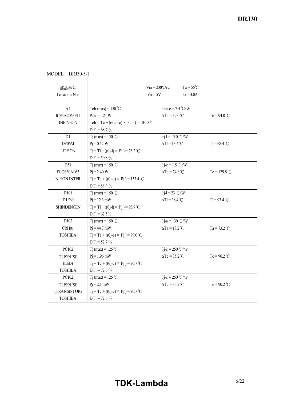| 部品番号<br>Location No. |                                                     | $V_{\text{in}} = 230 \text{VAC}$<br>$V_0 = 5V$ | $Ta = 55^{\circ}C$<br>$Io = 4.0A$ |                 |
|----------------------|-----------------------------------------------------|------------------------------------------------|-----------------------------------|-----------------|
| A1                   | Tch (max) = $150^{\circ}$ C                         | $\theta$ ch-c = 7.4 °C/W                       |                                   |                 |
| ICE3A2065ELJ         | $Pch = 1.21 W$                                      | $\Delta Tc = 39.0^{\circ}C$                    |                                   | $Tc = 94.0 °C$  |
| <b>INFINEON</b>      | Tch = Tc + (( $\theta$ ch-c) × Pch) = 103.0 °C      |                                                |                                   |                 |
|                      | $D.F. = 68.7 \%$                                    |                                                |                                   |                 |
| D1                   | T <sub>j</sub> (max) = 150 °C                       | $\theta$ j-l = 15.0 °C/W                       |                                   |                 |
| DF06M                | $P_1 = 0.52 W$                                      | $\Delta Tl = 13.4$ °C                          |                                   | $T = 68.4 °C$   |
| <b>LITE ON</b>       | $T_1 = T_1 + ((\theta_1 - 1) \times P_1) = 76.2$ °C |                                                |                                   |                 |
|                      | $D.F. = 50.8 \%$                                    |                                                |                                   |                 |
| D51                  | T <sub>j</sub> (max) = $150^{\circ}$ C              | $\theta$ j-c = 1.5 °C/W                        |                                   |                 |
| FCQS30A065           | $P_1 = 2.40 W$                                      | $\Delta Tc = 74.8$ °C                          |                                   | $Tc = 129.8 °C$ |
| NIHON INTER          | $Tj = Tc + ((\theta j - c) \times Pj) = 133.4$ °C   |                                                |                                   |                 |
|                      | D.F. = $88.9\%$                                     |                                                |                                   |                 |
| D <sub>101</sub>     | T <sub>j</sub> (max) = $150^{\circ}$ C              | $\theta$ j-l = 23 °C/W                         |                                   |                 |
| D1F60                | $Pi = 12.3$ mW                                      | $\Delta Tl = 38.4$ °C                          |                                   | $TI = 93.4 °C$  |
| <b>SHINDENGEN</b>    | $T_1 = T_1 + ((\theta_1 - 1) \times P_1) = 93.7$ °C |                                                |                                   |                 |
|                      | $D.F. = 62.5\%$                                     |                                                |                                   |                 |
| D102                 | Tj (max) = $150 °C$                                 | $\theta$ j-a = 130 °C/W                        |                                   |                 |
| CRH01                | $P_1 = 44.7$ mW                                     | $\Delta$ Ta = 18.2 °C                          |                                   | $Ta = 73.2 °C$  |
| <b>TOSHIBA</b>       | $Tj = Ta + ((\theta j - a) \times Pj) = 79.0$ °C    |                                                |                                   |                 |
|                      | $D.F. = 52.7 \%$                                    |                                                |                                   |                 |
| PC102                | T <sub>j</sub> (max) = 125 °C                       | $\theta$ j-c = 250 °C/W                        |                                   |                 |
| <b>TLP291(SE</b>     | $P_1 = 1.96$ mW                                     | $\Delta Tc = 35.2$ °C                          |                                   | $Tc = 90.2$ °C  |
| (LED)                | $T_1 = Tc + ((\theta i - c) \times P_1) = 90.7$ °C  |                                                |                                   |                 |
| <b>TOSHIBA</b>       | $D.F. = 72.6 \%$                                    |                                                |                                   |                 |
| PC102                | Tj (max) = 125 °C                                   | $\theta$ j-c = 250 °C/W                        |                                   |                 |
| <b>TLP291(SE</b>     | $Pj = 2.1$ mW                                       | $\Delta Tc = 35.2$ °C                          |                                   | $Tc = 90.2$ °C  |
| (TRANSISTOR)         | $Tj = Tc + ((\theta j - c) \times Pj) = 90.7$ °C    |                                                |                                   |                 |
| <b>TOSHIBA</b>       | $D.F. = 72.6 \%$                                    |                                                |                                   |                 |

MODEL : DRJ30-5-1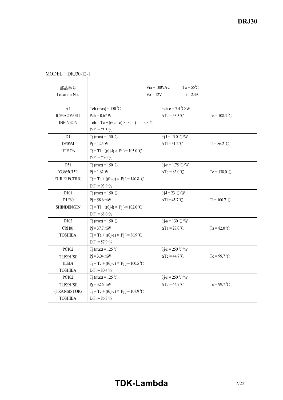| 部品番号<br>Location No. |                                                     | $V_{\text{in}} = 100 \text{VAC}$<br>$Vo = 12V$ | $Ta = 55^{\circ}C$<br>$I_0 = 2.3A$ |                      |
|----------------------|-----------------------------------------------------|------------------------------------------------|------------------------------------|----------------------|
| A1                   | Tch (max) = $150^{\circ}$ C                         | $\theta$ ch-c = 7.4 °C/W                       |                                    |                      |
| ICE3A2065ELJ         | $Pch = 0.67 W$                                      | $\Delta Tc = 53.3 \text{ °C}$                  |                                    | $Tc = 108.3 °C$      |
| <b>INFINEON</b>      | Tch = Tc + (( $\theta$ ch-c) × Pch) = 113.3 °C      |                                                |                                    |                      |
|                      | $D.F. = 75.5 \%$                                    |                                                |                                    |                      |
| D1                   | T <sub>j</sub> (max) = $150^{\circ}$ C              | $\theta$ j-l = 15.0 °C/W                       |                                    |                      |
| DF06M                | $P_1 = 1.25 W$                                      | $\Delta Tl = 31.2$ °C                          |                                    | $T1 = 86.2$ °C       |
| <b>LITE ON</b>       | $Tj = Tl + ((\theta j - l) \times Pj) = 105.0$ °C   |                                                |                                    |                      |
|                      | D.F. = 70.0 $\%$                                    |                                                |                                    |                      |
| D51                  | T <sub>j</sub> (max) = 150 °C                       | $\theta$ j-c = 1.75 °C/W                       |                                    |                      |
| YG865C15R            | $Pi = 1.62 W$                                       | $\Delta Tc = 83.0$ °C                          |                                    | $Tc = 138.0 °C$      |
| <b>FUJI ELECTRIC</b> | $T_1 = Tc + ((\theta i - c) \times P_1) = 140.8$ °C |                                                |                                    |                      |
|                      | D.F. = $93.9\%$                                     |                                                |                                    |                      |
| D <sub>10</sub> 1    | T <sub>j</sub> (max) = $150^{\circ}$ C              | $\theta$ j-l = 23 °C/W                         |                                    |                      |
| D1F60                | $P_1 = 58.6$ mW                                     | $\Delta Tl = 45.7$ °C                          |                                    | $TI = 100.7 °C$      |
| <b>SHINDENGEN</b>    | $Tj = Tl + ((\theta j - l) \times Pj) = 102.0$ °C   |                                                |                                    |                      |
|                      | D.F. = $68.0\%$                                     |                                                |                                    |                      |
| D102                 | Tj (max) = $150^{\circ}$ C                          | $\theta$ j-a = 130 °C/W                        |                                    |                      |
| CRH01                | $P_1 = 37.7$ mW                                     | $\Delta$ Ta = 27.0 °C                          |                                    | $Ta = 82.0 °C$       |
| <b>TOSHIBA</b>       | $T_1 = Ta + ((\theta - a) \times P_1) = 86.9$ °C    |                                                |                                    |                      |
|                      | $D.F. = 57.9 \%$                                    |                                                |                                    |                      |
| PC102                | Tj (max) = 125 °C                                   | $\theta$ j-c = 250 °C/W                        |                                    |                      |
| <b>TLP291(SE</b>     | $P_1 = 3.04$ mW                                     | $\Delta Tc = 44.7$ °C                          |                                    | $Tc = 99.7^{\circ}C$ |
| (LED)                | $Tj = Tc + ((\theta j - c) \times Pj) = 100.5$ °C   |                                                |                                    |                      |
| <b>TOSHIBA</b>       | $D.F. = 80.4 \%$                                    |                                                |                                    |                      |
| PC102                | T <sub>j</sub> (max) = 125 °C                       | $\theta$ j-c = 250 °C/W                        |                                    |                      |
| <b>TLP291(SE</b>     | $P_1 = 32.6$ mW                                     | $\Delta Tc = 44.7$ °C                          |                                    | $Tc = 99.7$ °C       |
| (TRANSISTOR)         | $T_1 = Tc + ((\theta i - c) \times P_1) = 107.9$ °C |                                                |                                    |                      |
| <b>TOSHIBA</b>       | D.F. = $86.3\%$                                     |                                                |                                    |                      |

MODEL : DRJ30-12-1

# **TDK-Lambda** 7/22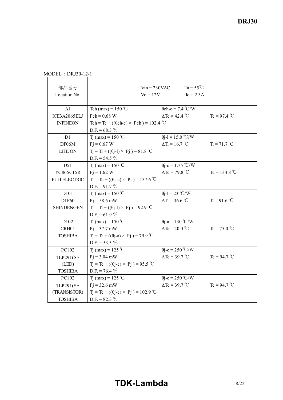| 部品番号<br>Location No. |                                                     | $V_{1n} = 230$ VAC<br>$V_0 = 12V$                | $Ta = 55^{\circ}C$<br>$I_0 = 2.3A$ |                       |
|----------------------|-----------------------------------------------------|--------------------------------------------------|------------------------------------|-----------------------|
| A1                   | Tch (max) = $150^{\circ}$ C                         | $\theta$ ch-c = 7.4 °C/W                         |                                    |                       |
| ICE3A2065ELJ         | $Pch = 0.68 W$                                      | $\Delta$ Tc = 42.4 °C                            |                                    | $Tc = 97.4 °C$        |
| <b>INFINEON</b>      | Tch = Tc + (( $\theta$ ch-c) × Pch) = 102.4 °C      |                                                  |                                    |                       |
|                      | D.F. = $68.3\%$                                     |                                                  |                                    |                       |
| D1                   | T <sub>1</sub> (max) = 150 °C                       | $\theta$ j-l = 15.0 °C/W                         |                                    |                       |
| DF06M                | $Pi = 0.67 W$                                       | $\Delta T = 16.7$ °C                             |                                    | $T = 71.7^{\circ}C$   |
| <b>LITE ON</b>       | $T_1 = T_1 + ((\theta_1 - 1) \times P_1) = 81.8$ °C |                                                  |                                    |                       |
|                      | $D.F. = 54.5 \%$                                    |                                                  |                                    |                       |
| D51                  | T <sub>1</sub> (max) = 150 °C                       | $\theta$ j-c = 1.75 °C/W                         |                                    |                       |
| YG865C15R            | $P_1 = 1.62$ W                                      | $\Delta Tc = 79.8$ °C                            |                                    | $Tc = 134.8 °C$       |
| <b>FUJI ELECTRIC</b> | $Tj = Tc + ((\theta j - c) \times Pj) = 137.6$ °C   |                                                  |                                    |                       |
|                      | $D.F. = 91.7 \%$                                    |                                                  |                                    |                       |
| D101                 | Tj (max) = 150 °C                                   | $\theta$ j-l = 23 °C/W                           |                                    |                       |
| D1F60                | $P_1 = 58.6$ mW                                     | $\Delta T = 36.6$ °C                             |                                    | $T = 91.6 °C$         |
| <b>SHINDENGEN</b>    |                                                     | $Tj = TI + ((\theta j - 1) \times Pj) = 92.9$ °C |                                    |                       |
|                      | D.F. = 61.9 $%$                                     |                                                  |                                    |                       |
| D102                 | T <sub>1</sub> (max) = 150 °C                       | $\theta$ j-a = 130 °C/W                          |                                    |                       |
| CRH01                | $Pj = 37.7$ mW                                      | $\Delta$ Ta = 20.0 °C                            |                                    | Ta = $75.0^{\circ}$ C |
| <b>TOSHIBA</b>       | $Tj = Ta + ((\theta j - a) \times Pj) = 79.9$ °C    |                                                  |                                    |                       |
|                      | $D.F. = 53.3 \%$                                    |                                                  |                                    |                       |
| PC102                | Tj (max) = 125 °C                                   | $\theta$ j-c = 250 °C/W                          |                                    |                       |
| <b>TLP291(SE</b>     | $P_1 = 3.04$ mW                                     | $\Delta Tc = 39.7^{\circ}C$                      |                                    | $Tc = 94.7 °C$        |
| (LED)                | $Tj = Tc + ((\theta j - c) \times Pj) = 95.5$ °C    |                                                  |                                    |                       |
| <b>TOSHIBA</b>       | $D.F. = 76.4 \%$                                    |                                                  |                                    |                       |
| PC102                | T <sub>1</sub> (max) = 125 °C                       | $\theta$ j-c = 250 °C/W                          |                                    |                       |
| <b>TLP291(SE</b>     | $Pj = 32.6$ mW                                      | $\Delta Tc = 39.7 \text{ °C}$                    |                                    | $Tc = 94.7 °C$        |
| (TRANSISTOR)         | $Tj = Tc + ((\theta j - c) \times Pj) = 102.9$ °C   |                                                  |                                    |                       |
| <b>TOSHIBA</b>       | D.F. = $82.3\%$                                     |                                                  |                                    |                       |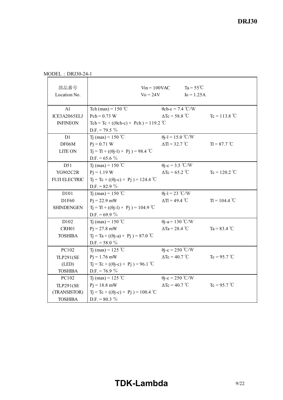MODEL : DRJ30-24-1

| 部品番号<br>Location No. | $\mathrm{Vo} = 24\mathrm{V}$                         | $V$ in = 100VAC               | $Ta = 55^{\circ}C$<br>$I_0 = 1.25A$ |                 |
|----------------------|------------------------------------------------------|-------------------------------|-------------------------------------|-----------------|
| A1                   | Tch (max) = $150^{\circ}$ C                          | $\theta$ ch-c = 7.4 °C/W      |                                     |                 |
| ICE3A2065ELJ         | $Pch = 0.73 W$                                       | $\Delta Tc = 58.8 °C$         |                                     | $Tc = 113.8 °C$ |
| <b>INFINEON</b>      | Tch = Tc + (( $\theta$ ch-c) × Pch) = 119.2 °C       |                               |                                     |                 |
|                      | $D.F. = 79.5 \%$                                     |                               |                                     |                 |
| D1                   | T <sub>1</sub> (max) = 150 °C                        | $\theta$ j-l = 15.0 °C/W      |                                     |                 |
| DF06M                | $Pi = 0.71$ W                                        | $\Delta T = 32.7 \text{ °C}$  |                                     | $T = 87.7 °C$   |
| <b>LITE ON</b>       | $T_1 = T_1 + ((\theta_1 - 1) \times P_1) = 98.4$ °C  |                               |                                     |                 |
|                      | D.F. = $65.6\%$                                      |                               |                                     |                 |
| D51                  | T <sub>1</sub> (max) = $150^{\circ}$ C               | $\theta$ j-c = 3.5 °C/W       |                                     |                 |
| YG902C2R             | $P_1 = 1.19 W$                                       | $\Delta$ Tc = 65.2 °C         |                                     | $Tc = 120.2$ °C |
| <b>FUJI ELECTRIC</b> | $Tj = Tc + ((\theta j - c) \times Pj) = 124.4$ °C    |                               |                                     |                 |
|                      | D.F. = $82.9 \%$                                     |                               |                                     |                 |
| D <sub>10</sub> 1    | Tj (max) = $150^{\circ}$ C                           | $\theta$ j-l = 23 °C/W        |                                     |                 |
| D1F60                | $P_1 = 22.9$ mW                                      | $\Delta T = 49.4$ °C          |                                     | $T = 104.4$ °C  |
| <b>SHINDENGEN</b>    | $T_1 = T_1 + ((\theta_1 - 1) \times P_1) = 104.9$ °C |                               |                                     |                 |
|                      | D.F. = 69.9 $\%$                                     |                               |                                     |                 |
| D102                 | T <sub>1</sub> (max) = 150 °C                        | $\theta$ j-a = 130 °C/W       |                                     |                 |
| CRH01                | $P_1 = 27.8$ mW                                      | $\Delta$ Ta = 28.4 °C         |                                     | Ta = $83.4$ °C  |
| <b>TOSHIBA</b>       | $T_1 = Ta + ((\theta - a) \times P_1) = 87.0$ °C     |                               |                                     |                 |
|                      | D.F. = $58.0\%$                                      |                               |                                     |                 |
| PC102                | T <sub>1</sub> (max) = 125 °C                        | $\theta$ j-c = 250 °C/W       |                                     |                 |
| <b>TLP291(SE</b>     | $Pi = 1.76$ mW                                       | $\Delta Tc = 40.7$ °C         |                                     | $Tc = 95.7 °C$  |
| (LED)                | $Tj = Tc + ((\theta j - c) \times Pj) = 96.1$ °C     |                               |                                     |                 |
| <b>TOSHIBA</b>       | $D.F. = 76.9 \%$                                     |                               |                                     |                 |
| PC102                | Tj (max) = 125 °C                                    | $\theta$ j-c = 250 °C/W       |                                     |                 |
| <b>TLP291(SE</b>     | $P_1 = 18.8$ mW                                      | $\Delta Tc = 40.7 \text{ °C}$ |                                     | $Tc = 95.7 °C$  |
| (TRANSISTOR)         | $Tj = Tc + ((\theta j - c) \times Pj) = 100.4$ °C    |                               |                                     |                 |
| <b>TOSHIBA</b>       | D.F. = $80.3\%$                                      |                               |                                     |                 |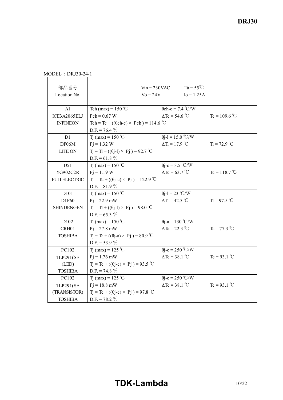MODEL : DRJ30-24-1

| 部品番号<br>Location No. |                                                     | $V$ in = 230VAC<br>$\mathrm{Vo} = 24\mathrm{V}$ | $Ta = 55^{\circ}C$<br>$I_0 = 1.25A$ |                 |
|----------------------|-----------------------------------------------------|-------------------------------------------------|-------------------------------------|-----------------|
| A1                   | Tch (max) = $150^{\circ}$ C                         |                                                 | $\theta$ ch-c = 7.4 °C/W            |                 |
| ICE3A2065ELJ         | $Pch = 0.67 W$                                      | $\Delta Tc = 54.6^{\circ}C$                     |                                     | $Tc = 109.6 °C$ |
| <b>INFINEON</b>      | Tch = Tc + (( $\theta$ ch-c) × Pch) = 114.6 °C      |                                                 |                                     |                 |
|                      | $D.F. = 76.4 \%$                                    |                                                 |                                     |                 |
| D1                   | T <sub>1</sub> (max) = 150 °C                       | $\theta$ j-l = 15.0 °C/W                        |                                     |                 |
| DF06M                | $P_1 = 1.32$ W                                      | $\Delta T = 17.9$ °C                            |                                     | $T = 72.9$ °C   |
| <b>LITE ON</b>       | $T_1 = T_1 + ((\theta_1 - 1) \times P_1) = 92.7$ °C |                                                 |                                     |                 |
|                      | D.F. = $61.8\%$                                     |                                                 |                                     |                 |
| D51                  | T <sub>1</sub> (max) = 150 °C                       | $\theta$ j-c = 3.5 °C/W                         |                                     |                 |
| YG902C2R             | $Pi = 1.19 W$                                       | $\Delta Tc = 63.7 \text{ °C}$                   |                                     | $Tc = 118.7 °C$ |
| <b>FUJI ELECTRIC</b> | $Tj = Tc + ((\theta j - c) \times Pj) = 122.9$ °C   |                                                 |                                     |                 |
|                      | D.F. = $81.9\%$                                     |                                                 |                                     |                 |
| D101                 | T <sub>1</sub> (max) = $150^{\circ}$ C              | $\theta$ j-l = 23 °C/W                          |                                     |                 |
| D1F60                | $P_1 = 22.9$ mW                                     | $\Delta T = 42.5$ °C                            |                                     | $T = 97.5 °C$   |
| <b>SHINDENGEN</b>    | $Tj = TI + ((0j-1) \times Pj) = 98.0$ °C            |                                                 |                                     |                 |
|                      | D.F. = $65.3 \%$                                    |                                                 |                                     |                 |
| D102                 | T <sub>1</sub> (max) = $150^{\circ}$ C              | $\theta$ j-a = 130 °C/W                         |                                     |                 |
| CRH01                | $P_1 = 27.8$ mW                                     | $\Delta$ Ta = 22.3 °C                           |                                     | Ta = $77.3$ °C  |
| <b>TOSHIBA</b>       | $Tj = Ta + ((\theta j - a) \times Pj) = 80.9$ °C    |                                                 |                                     |                 |
|                      | D.F. = $53.9 \%$                                    |                                                 |                                     |                 |
| PC102                | Tj (max) = 125 °C                                   | $\theta$ j-c = 250 °C/W                         |                                     |                 |
| <b>TLP291(SE</b>     | $Pi = 1.76$ mW                                      | $\Delta Tc = 38.1$ °C                           |                                     | $Tc = 93.1 °C$  |
| (LED)                | $Tj = Tc + ((\theta j - c) \times Pj) = 93.5$ °C    |                                                 |                                     |                 |
| <b>TOSHIBA</b>       | $D.F. = 74.8 \%$                                    |                                                 |                                     |                 |
| PC102                | T <sub>1</sub> (max) = 125 °C                       | $\theta$ j-c = 250 °C/W                         |                                     |                 |
| <b>TLP291(SE</b>     | $P_1 = 18.8$ mW                                     | $\Delta Tc = 38.1$ °C                           |                                     | $Tc = 93.1 °C$  |
| (TRANSISTOR)         | $Tj = Tc + ((\theta j - c) \times Pj) = 97.8$ °C    |                                                 |                                     |                 |
| <b>TOSHIBA</b>       | $D.F. = 78.2 \%$                                    |                                                 |                                     |                 |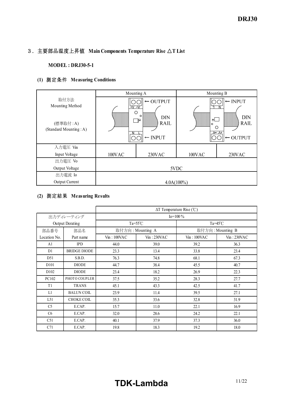## 3.主要部品温度上昇値 **Main Components Temperature Rise** △**T List**

**MODEL**: DRJ30-5-1

## **(1)** 測定条件 **Measuring Conditions**

|                                    | Mounting A |                                                                     |               | Mounting B                                                                     |
|------------------------------------|------------|---------------------------------------------------------------------|---------------|--------------------------------------------------------------------------------|
| 取付方法<br>Mounting Method            | +∨ –∨<br>O | $\leftarrow$ OUTPUT                                                 |               | $\leftarrow$ INPUT<br>N                                                        |
| (標準取付:A)<br>(Standard Mounting: A) | 88888888   | $\circ$<br><b>DIN</b><br>$\mathbb{C}$<br>RAIL<br>$\leftarrow$ INPUT | ΦL<br>$\circ$ | <b>DIN</b><br><b>RAIL</b><br>О<br>$\Lambda$ $\Lambda$ +<br>$\leftarrow$ OUTPUT |
| 入力電圧 Vin                           |            |                                                                     |               |                                                                                |
| Input Voltage                      | 100VAC     | 230VAC                                                              | 100VAC        | 230VAC                                                                         |
| 出力電圧 Vo                            |            |                                                                     |               |                                                                                |
| Output Voltage                     |            |                                                                     | 5VDC          |                                                                                |
| 出力電流 Io                            |            |                                                                     |               |                                                                                |
| Output Current                     |            | $4.0A(100\%)$                                                       |               |                                                                                |

## **(2)** 測定結果 **Measuring Results**

|                   |                        |            |                    | $\Delta T$ Temperature Rise (°C) |                |  |  |  |  |
|-------------------|------------------------|------------|--------------------|----------------------------------|----------------|--|--|--|--|
|                   | 出力ディレーティング             |            |                    | $Io=100\%$                       |                |  |  |  |  |
|                   | <b>Output Derating</b> |            | $Ta = 55^{\circ}C$ | Ta= $45^{\circ}$ C               |                |  |  |  |  |
| 部品番号              | 部品名                    |            | 取付方向: Mounting A   | 取付方向: Mounting B                 |                |  |  |  |  |
| Location No.      | Part name              | Vin:100VAC | $V_{in}$ : 230VAC  | Vin:100VAC                       | $V$ in: 230VAC |  |  |  |  |
| A <sub>1</sub>    | <b>IPD</b>             | 44.0       | 39.0               | 39.2                             | 36.3           |  |  |  |  |
| D1                | <b>BRIDGE DIODE</b>    | 23.3       | 13.4               | 33.8                             | 23.4           |  |  |  |  |
| D51               | S.B.D.                 | 76.3       | 74.8               | 68.1                             | 67.3           |  |  |  |  |
| D <sub>10</sub> 1 | <b>DIODE</b>           | 44.7       | 38.4               | 45.5                             | 40.7           |  |  |  |  |
| D <sub>102</sub>  | <b>DIODE</b>           | 23.4       | 18.2               | 26.9                             | 22.3           |  |  |  |  |
| PC102             | PHOTO COUPLER          | 37.5       | 35.2               | 28.3                             | 27.7           |  |  |  |  |
| T1                | <b>TRANS</b>           | 45.1       | 43.3               | 42.5                             | 41.7           |  |  |  |  |
| L1                | <b>BALUN COIL</b>      | 23.9       | 11.4               | 39.5                             | 27.1           |  |  |  |  |
| L51               | <b>CHOKE COIL</b>      | 35.3       | 33.6               | 32.8                             | 31.9           |  |  |  |  |
| C <sub>5</sub>    | E.CAP.                 | 15.7       | 11.0               | 22.1                             | 16.9           |  |  |  |  |
| C <sub>6</sub>    | E.CAP.                 | 32.0       | 28.6               | 24.2                             | 22.1           |  |  |  |  |
| C51               | E.CAP.                 | 40.1       | 37.9               | 37.3                             | 36.0           |  |  |  |  |
| C71               | E.CAP.                 | 19.8       | 18.3               | 19.2                             | 18.0           |  |  |  |  |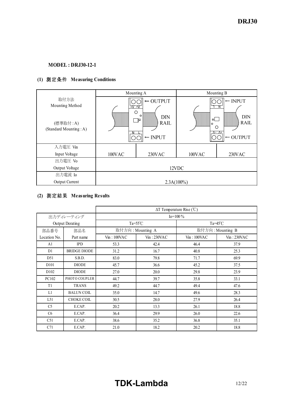### **MODEL : DRJ30-12-1**

## **(1)** 測定条件 **Measuring Conditions**

|                                    | Mounting A          |                                                                                        |               | Mounting B                                                                       |
|------------------------------------|---------------------|----------------------------------------------------------------------------------------|---------------|----------------------------------------------------------------------------------|
| 取付方法<br>Mounting Method            | —<br>v—v<br>$\circ$ | $\leftarrow$ OUTPUT                                                                    |               | $\leftarrow$ INPUT<br>Ν                                                          |
| (標準取付:A)<br>(Standard Mounting: A) |                     | $\circ$<br><b>DIN</b><br>$\cdot$ $\mathbb{J}^{\oplus}$ .<br>RAIL<br>$\leftarrow$ INPUT | ⊕l<br>$\circ$ | <b>DIN</b><br><b>RAIL</b><br>O<br>$\Lambda$ - $\Lambda$ +<br>$\leftarrow$ OUTPUT |
| 入力電圧 Vin                           |                     |                                                                                        |               |                                                                                  |
| Input Voltage                      | 100VAC              | 230VAC                                                                                 | 100VAC        | 230VAC                                                                           |
| 出力電圧 Vo                            |                     |                                                                                        |               |                                                                                  |
| Output Voltage                     |                     |                                                                                        | 12VDC         |                                                                                  |
| 出力電流 Io                            |                     |                                                                                        |               |                                                                                  |
| Output Current                     |                     | $2.3A(100\%)$                                                                          |               |                                                                                  |

## **(2)** 測定結果 **Measuring Results**

|                   |                        | $\Delta T$ Temperature Rise (°C) |                    |                    |                   |  |  |  |  |  |
|-------------------|------------------------|----------------------------------|--------------------|--------------------|-------------------|--|--|--|--|--|
|                   | 出力ディレーティング             |                                  |                    | $Io = 100 \%$      |                   |  |  |  |  |  |
|                   | <b>Output Derating</b> |                                  | $Ta = 55^{\circ}C$ | Ta= $45^{\circ}$ C |                   |  |  |  |  |  |
| 部品番号              | 部品名                    |                                  | 取付方向: Mounting A   | 取付方向: Mounting B   |                   |  |  |  |  |  |
| Location No.      | Part name              | Vin:100VAC                       | Vin:230VAC         | Vin:100VAC         | $V_{1n}$ : 230VAC |  |  |  |  |  |
| A <sub>1</sub>    | <b>IPD</b>             | 53.3                             | 42.4               | 46.4               | 37.9              |  |  |  |  |  |
| D1                | <b>BRIDGE DIODE</b>    | 31.2                             | 16.7               | 40.8               | 25.3              |  |  |  |  |  |
| D51               | S.B.D.                 | 83.0                             | 79.8               | 71.7               | 69.9              |  |  |  |  |  |
| D <sub>10</sub> 1 | <b>DIODE</b>           | 45.7                             | 36.6               | 45.2               | 37.5              |  |  |  |  |  |
| D <sub>102</sub>  | <b>DIODE</b>           | 27.0                             | 20.0               | 29.8               | 23.9              |  |  |  |  |  |
| PC102             | PHOTO COUPLER          | 44.7                             | 39.7               | 35.8               | 33.1              |  |  |  |  |  |
| T <sub>1</sub>    | <b>TRANS</b>           | 49.2                             | 44.7               | 49.4               | 47.6              |  |  |  |  |  |
| L1                | <b>BALUN COIL</b>      | 35.0                             | 14.7               | 49.6               | 28.3              |  |  |  |  |  |
| L51               | <b>CHOKE COIL</b>      | 30.5                             | 28.0               | 27.9               | 26.4              |  |  |  |  |  |
| C <sub>5</sub>    | E.CAP.                 | 20.2                             | 13.3               | 26.1               | 18.8              |  |  |  |  |  |
| C <sub>6</sub>    | E.CAP.                 | 36.4                             | 29.9               | 26.0               | 22.6              |  |  |  |  |  |
| C51               | E.CAP.                 | 38.6                             | 35.2               | 36.8               | 35.1              |  |  |  |  |  |
| C71               | E.CAP.                 | 21.0                             | 18.2               | 20.2               | 18.8              |  |  |  |  |  |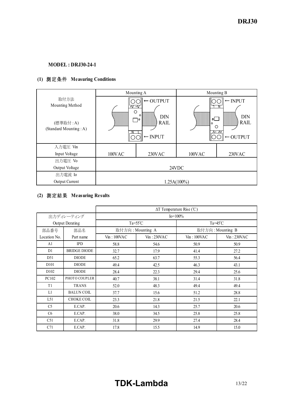## **MODEL : DRJ30-24-1**

## **(1)** 測定条件 **Measuring Conditions**

|                                                               | Mounting A                               |                                                                                                                    |                                                                                                                     | Mounting B |  |  |  |  |  |
|---------------------------------------------------------------|------------------------------------------|--------------------------------------------------------------------------------------------------------------------|---------------------------------------------------------------------------------------------------------------------|------------|--|--|--|--|--|
| 取付方法<br>Mounting Method<br>(標準取付:A)<br>(Standard Mounting: A) | $\overline{+}\nabla - \nabla$<br>$\circ$ | $\leftarrow$ OUTPUT<br>$\circ$<br><b>DIN</b><br>$\cdot \mathbb{J}^{\oplus}$ .<br><b>RAIL</b><br>$\leftarrow$ INPUT | $\leftarrow$ INPUT<br><b>DIN</b><br>Φl<br><b>RAIL</b><br>$\circ$<br>∩<br>$\wedge$ $\wedge$ +<br>$\leftarrow$ OUTPUT |            |  |  |  |  |  |
| 入力電圧 Vin                                                      |                                          |                                                                                                                    |                                                                                                                     |            |  |  |  |  |  |
| Input Voltage                                                 | 100VAC                                   | 230VAC                                                                                                             | 100VAC                                                                                                              | 230VAC     |  |  |  |  |  |
| 出力電圧 Vo                                                       |                                          |                                                                                                                    |                                                                                                                     |            |  |  |  |  |  |
| Output Voltage                                                |                                          |                                                                                                                    | 24VDC                                                                                                               |            |  |  |  |  |  |
| 出力電流 Io                                                       |                                          |                                                                                                                    |                                                                                                                     |            |  |  |  |  |  |
| Output Current                                                | $1.25A(100\%)$                           |                                                                                                                    |                                                                                                                     |            |  |  |  |  |  |

## **(2)** 測定結果 **Measuring Results**

|                   |                        |            |                          | $\Delta T$ Temperature Rise (°C) |                   |  |  |  |  |
|-------------------|------------------------|------------|--------------------------|----------------------------------|-------------------|--|--|--|--|
|                   | 出力ディレーティング             |            |                          | $Io = 100\%$                     |                   |  |  |  |  |
|                   | <b>Output Derating</b> |            | $Ta=55^{\circ}C$         | Ta= $45^{\circ}$ C               |                   |  |  |  |  |
| 部品番号              | 部品名                    |            | 取付方向: Mounting A         | 取付方向: Mounting B                 |                   |  |  |  |  |
| Location No.      | Part name              | Vin:100VAC | $V_{\text{in}}$ : 230VAC | $V$ in: 100VAC                   | $V_{1n}$ : 230VAC |  |  |  |  |
| A <sub>1</sub>    | <b>IPD</b>             | 58.8       | 54.6                     | 50.9                             | 50.9              |  |  |  |  |
| D1                | <b>BRIDGE DIODE</b>    | 32.7       | 17.9                     | 41.4                             | 27.2              |  |  |  |  |
| D51               | <b>DIODE</b>           | 65.2       | 63.7                     | 55.3                             | 56.4              |  |  |  |  |
| D <sub>10</sub> 1 | <b>DIODE</b>           | 49.4       | 42.5                     | 46.3                             | 43.1              |  |  |  |  |
| D <sub>102</sub>  | <b>DIODE</b>           | 28.4       | 22.3                     | 29.4                             | 25.6              |  |  |  |  |
| PC102             | PHOTO COUPLER          | 40.7       | 38.1                     | 31.4                             | 31.8              |  |  |  |  |
| T <sub>1</sub>    | <b>TRANS</b>           | 52.0       | 48.3                     | 49.4                             | 49.4              |  |  |  |  |
| L1                | <b>BALUN COIL</b>      | 37.7       | 15.6                     | 51.2                             | 28.8              |  |  |  |  |
| L51               | <b>CHOKE COIL</b>      | 23.3       | 21.8                     | 21.5                             | 22.1              |  |  |  |  |
| C <sub>5</sub>    | E.CAP.                 | 20.6       | 14.3                     | 25.7                             | 20.6              |  |  |  |  |
| C <sub>6</sub>    | E.CAP.                 | 38.0       | 34.5                     | 25.8                             | 25.8              |  |  |  |  |
| C51               | E.CAP.                 | 31.8       | 29.9                     | 27.4                             | 28.4              |  |  |  |  |
| C71               | E.CAP.                 | 17.8       | 15.5                     | 14.9                             | 15.0              |  |  |  |  |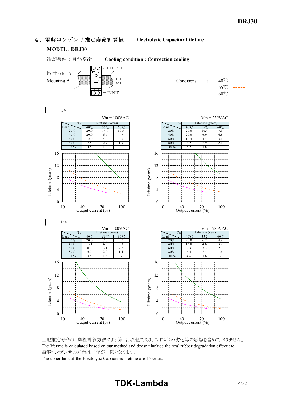#### 4.電解コンデンサ推定寿命計算値 **Electrolytic Capacitor Lifetime**

#### **MODEL : DRJ30**



上記推定寿命は、弊社計算方法により算出した値であり、封口ゴムの劣化等の影響を含めておりません。 The lifetime is calculated based on our method and doesn't include the seal rubber degradation effect etc. 電解コンデンサの寿命は15年が上限となります。

The upper limit of the Electolytic Capacitors lifetime are 15 years.

## **TDKLambda** 14/22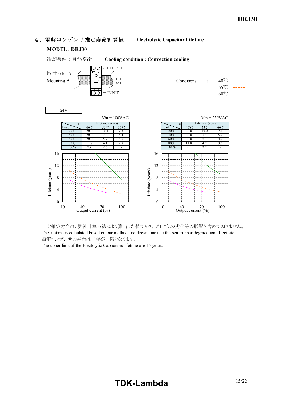



The upper limit of the Electolytic Capacitors lifetime are 15 years.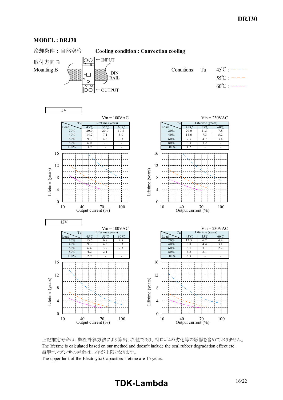#### **MODEL : DRJ30**

冷却条件 : 自然空冷 **Cooling condition : Convection cooling**



上記推定寿命は、弊社計算方法により算出した値であり、封口ゴムの劣化等の影響を含めておりません。 The lifetime is calculated based on our method and doesn't include the seal rubber degradation effect etc. 電解コンデンサの寿命は15年が上限となります。

The upper limit of the Electolytic Capacitors lifetime are 15 years.

# **TDK-Lambda**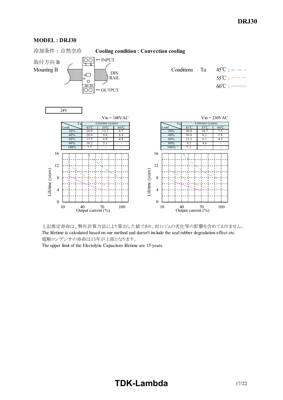







The upper limit of the Electolytic Capacitors lifetime are 15 years.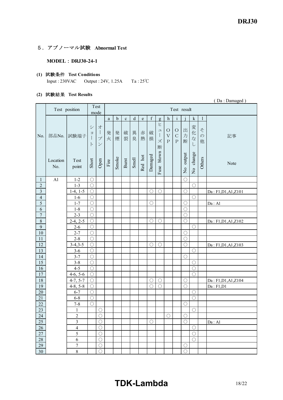## 5.アブノーマル試験 **Abnormal Test**

#### **MODEL** : DRJ30-24-1

#### **(1)** 試験条件 **Test Conditions**

Input : 230VAC Output : 24V, 1.25A Ta : 25℃

#### **(2)** 試験結果 **Test Results**

|                         |                 |                          |                    |                                                                    |        |             |             |         |           |             |                               |                                     |                                            |             |                               |                         | (Da: Damaged)        |
|-------------------------|-----------------|--------------------------|--------------------|--------------------------------------------------------------------|--------|-------------|-------------|---------|-----------|-------------|-------------------------------|-------------------------------------|--------------------------------------------|-------------|-------------------------------|-------------------------|----------------------|
|                         |                 | Test position            |                    | Test<br>mode                                                       |        |             |             |         |           |             |                               |                                     |                                            | Test result |                               |                         |                      |
|                         |                 |                          |                    |                                                                    | a      | $\mathbf b$ | $\mathbf c$ | $\rm d$ | ${\rm e}$ | $\mathbf f$ | g                             | $\boldsymbol{h}$                    | $\mathbf{i}$                               |             | $\mathbf k$                   | $\mathbf{1}$            |                      |
| No.                     | 部品No.           | 試験端子                     | シ<br>$\equiv$<br>F | 才<br>$\overline{\phantom{a}}$<br>$\mathcal{I}^{\circ}$<br>$\smile$ | 発<br>火 | 発<br>煙      | 破<br>裂      | 異<br>臭  | 赤<br>熱    | 破<br>損      | ヒ<br>$\mathfrak{a}$<br>ズ<br>断 | $\circ$<br>$\bar{V}$<br>$\mathbf P$ | $\bigcirc$<br>$\mathcal{C}$<br>$\mathbf P$ | 出<br>力<br>断 | 変<br>化<br>$\vec{z}$<br>$\cup$ | そ<br>$\mathcal{D}$<br>他 | 記事                   |
|                         | Location<br>No. | Test<br>point            | Short              | Open                                                               | Fire   | Smoke       | Burst       | Smell   | Red hot   | Damaged     | Fuse blown                    |                                     |                                            | No output   | No change                     | Others                  | Note                 |
| $\mathbf{1}$            | A1              | $1 - 2$                  | $\bigcirc$         |                                                                    |        |             |             |         |           |             |                               |                                     |                                            | $\bigcirc$  |                               |                         |                      |
| $\sqrt{2}$              |                 | $1 - 3$                  | $\bigcirc$         |                                                                    |        |             |             |         |           |             |                               |                                     |                                            |             | $\bigcirc$                    |                         |                      |
| $\overline{\mathbf{3}}$ |                 | $1-4, 1-5$               | $\overline{O}$     |                                                                    |        |             |             |         |           | $\bigcirc$  | $\bigcirc$                    |                                     |                                            | $\bigcirc$  |                               |                         | Da: F1, D1, A1, Z101 |
| $\overline{4}$          |                 | $1-6$                    | $\bigcirc$         |                                                                    |        |             |             |         |           |             |                               |                                     |                                            |             | $\bigcirc$                    |                         |                      |
| $\overline{5}$          |                 | $1 - 7$                  | $\bigcirc$         |                                                                    |        |             |             |         |           | $\bigcirc$  |                               |                                     |                                            | $\bigcirc$  |                               |                         | Da: A1               |
| $\sqrt{6}$              |                 | $1 - 8$                  | $\bigcirc$         |                                                                    |        |             |             |         |           |             |                               |                                     |                                            | $\bigcirc$  |                               |                         |                      |
| $\overline{7}$          |                 | $2 - 3$                  | $\bigcirc$         |                                                                    |        |             |             |         |           |             |                               |                                     |                                            | $\bigcirc$  |                               |                         |                      |
| $\,8\,$                 |                 | $2-4, 2-5$               | $\bigcirc$         |                                                                    |        |             |             |         |           | $\bigcirc$  | $\bigcirc$                    |                                     |                                            | $\bigcirc$  |                               |                         | Da: F1, D1, A1, Z102 |
| $\overline{9}$          |                 | $2 - 6$                  | $\bigcirc$         |                                                                    |        |             |             |         |           |             |                               |                                     |                                            |             | $\bigcirc$                    |                         |                      |
| $10\,$                  |                 | $2 - 7$                  | $\bigcirc$         |                                                                    |        |             |             |         |           |             |                               |                                     |                                            | $\bigcirc$  |                               |                         |                      |
| $11\,$                  |                 | $2 - 8$                  | $\bigcirc$         |                                                                    |        |             |             |         |           |             |                               |                                     |                                            | $\bigcirc$  |                               |                         |                      |
| $\overline{12}$         |                 | $3-4,3-5$                | $\bigcirc$         |                                                                    |        |             |             |         |           | $\bigcirc$  | $\bigcirc$                    |                                     |                                            | $\bigcirc$  |                               |                         | Da: F1, D1, A1, Z103 |
| 13                      |                 | $3 - 6$                  | $\bigcirc$         |                                                                    |        |             |             |         |           |             |                               |                                     |                                            |             | $\bigcirc$                    |                         |                      |
| 14                      |                 | $3 - 7$                  | $\bigcirc$         |                                                                    |        |             |             |         |           |             |                               |                                     |                                            | $\bigcirc$  |                               |                         |                      |
| $\overline{15}$         |                 | $3 - 8$                  | $\bigcirc$         |                                                                    |        |             |             |         |           |             |                               |                                     |                                            |             | $\bigcirc$                    |                         |                      |
| 16                      |                 | $4 - 5$                  | $\overline{O}$     |                                                                    |        |             |             |         |           |             |                               |                                     |                                            |             | $\bigcirc$                    |                         |                      |
| 17                      |                 | $4-6, 5-6$               | $\bigcirc$         |                                                                    |        |             |             |         |           |             |                               |                                     |                                            |             | $\bigcirc$                    |                         |                      |
| 18                      |                 | $4-7, 5-7$               | $\bigcirc$         |                                                                    |        |             |             |         |           | O           | O                             |                                     |                                            | ( )         |                               |                         | Da: F1, D1, A1, Z104 |
| 19                      |                 | $4-8, 5-8$               | $\bigcirc$         |                                                                    |        |             |             |         |           | $\bigcirc$  | $\overline{O}$                |                                     |                                            | $\bigcirc$  |                               |                         | Da: F1, D1           |
| $20\,$                  |                 | $6 - 7$                  | $\bigcirc$         |                                                                    |        |             |             |         |           |             |                               |                                     |                                            |             | $\bigcirc$                    |                         |                      |
| $21\,$                  |                 | $6 - 8$                  | $\bigcirc$         |                                                                    |        |             |             |         |           |             |                               |                                     |                                            |             | $\bigcirc$                    |                         |                      |
| $\overline{22}$         |                 | $7 - 8$                  | $\bigcirc$         |                                                                    |        |             |             |         |           |             |                               |                                     |                                            | $\bigcirc$  |                               |                         |                      |
| $\overline{23}$         |                 | $\mathbf{1}$             |                    | $\bigcirc$                                                         |        |             |             |         |           |             |                               |                                     |                                            |             | $\bigcirc$                    |                         |                      |
| 24                      |                 | $\boldsymbol{2}$         |                    | $\bigcirc$                                                         |        |             |             |         |           |             |                               | $\bigcirc$                          |                                            | $\bigcirc$  |                               |                         |                      |
| 25                      |                 | $\overline{\mathbf{3}}$  |                    | $\bigcirc$                                                         |        |             |             |         |           | $\bigcirc$  |                               |                                     |                                            | $\bigcirc$  |                               |                         | Da: A1               |
| 26                      |                 | $\overline{\mathcal{L}}$ |                    | $\bigcirc$                                                         |        |             |             |         |           |             |                               |                                     |                                            |             | $\bigcirc$<br>$\bigcirc$      |                         |                      |
| 27                      |                 | 5                        |                    | $\bigcirc$<br>$\bigcirc$                                           |        |             |             |         |           |             |                               |                                     |                                            |             | $\bigcirc$                    |                         |                      |
| 28<br>29                |                 | 6<br>$\overline{7}$      |                    | $\bigcirc$                                                         |        |             |             |         |           |             |                               |                                     |                                            |             |                               |                         |                      |
|                         |                 |                          |                    |                                                                    |        |             |             |         |           |             |                               |                                     |                                            | $\bigcirc$  |                               |                         |                      |
| 30                      |                 | $8\,$                    |                    | $\bigcirc$                                                         |        |             |             |         |           |             |                               |                                     |                                            | $\bigcirc$  |                               |                         |                      |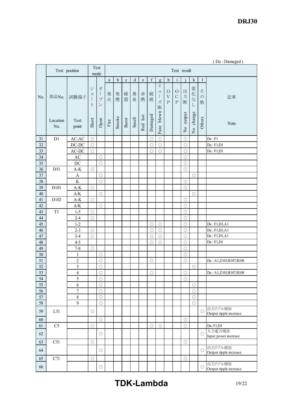*DRJ30* 

|        |                 |                                |                                           |                                                                                                   |        |             |             |        |         |                     |                  |                                                 |                                      |                          |                               |                         | (Da: Damaged)                     |
|--------|-----------------|--------------------------------|-------------------------------------------|---------------------------------------------------------------------------------------------------|--------|-------------|-------------|--------|---------|---------------------|------------------|-------------------------------------------------|--------------------------------------|--------------------------|-------------------------------|-------------------------|-----------------------------------|
|        |                 | Test position                  |                                           | Test<br>mode                                                                                      |        |             |             |        |         |                     |                  |                                                 | Test result                          |                          |                               |                         |                                   |
|        |                 |                                |                                           |                                                                                                   | a      | $\mathbf b$ | $\mathbf c$ | d      | e       | $\mathbf f$         | $\mathbf{g}$     | $\boldsymbol{h}$                                | $\rm i$                              |                          | $\mathbf k$                   | $\mathbf{1}$            |                                   |
| No.    | 部品No.           | 試験端子                           | シ<br>$\equiv$<br>$\mathbf{I}$<br>$\vdash$ | 才<br>$\begin{array}{c} \hline \end{array}$<br>$\mathcal{I}^{\circ}$<br>$\boldsymbol{\mathcal{V}}$ | 発<br>火 | 発<br>煙      | 破<br>裂      | 異<br>臭 | 赤<br>熱  | 破<br>損              | ヒ<br>ユ<br>ズ<br>断 | $\circ$<br>$\ensuremath{\mathbf{V}}$<br>$\rm P$ | $\bigcirc$<br>$\mathbf C$<br>$\rm P$ | 出<br>力<br>断              | 変<br>化<br>$\vec{z}$<br>$\cup$ | そ<br>$\mathcal{O}$<br>他 | 記事                                |
|        | Location<br>No. | Test<br>point                  | Short                                     | Open                                                                                              | Fire   | Smoke       | Burst       | Smell  | Red hot | Damaged             | blown<br>Fuse    |                                                 |                                      | output<br>$\overline{N}$ | change<br>$\frac{1}{2}$       | Others                  | Note                              |
| 31     | D1              | $AC-AC$                        | $\bigcirc$                                |                                                                                                   |        |             |             |        |         | $\bigcirc$          | $\circ$          |                                                 |                                      | $\bigcirc$               |                               |                         | Da : F1                           |
| 32     |                 | $DC-DC$                        | $\bigcirc$                                |                                                                                                   |        |             |             |        |         | $\bigcirc$          | $\bigcirc$       |                                                 |                                      | $\bigcirc$               |                               |                         | Da : F1, D1                       |
| 33     |                 | $AC-DC$                        | $\circ$                                   |                                                                                                   |        |             |             |        |         | $\bigcirc$          | $\circ$          |                                                 |                                      | $\bigcirc$               |                               |                         | Da: F1, D1                        |
| 34     |                 | $\mathbf{A}\mathbf{C}$         |                                           | $\bigcirc$                                                                                        |        |             |             |        |         |                     |                  |                                                 |                                      | $\circ$                  |                               |                         |                                   |
| 35     |                 | DC                             |                                           | $\bigcirc$                                                                                        |        |             |             |        |         |                     |                  |                                                 |                                      | $\bigcirc$               |                               |                         |                                   |
| 36     | D51             | $A-K$                          | $\bigcirc$                                |                                                                                                   |        |             |             |        |         |                     |                  |                                                 |                                      | $\bigcirc$               |                               |                         |                                   |
| 37     |                 | $\mathbf{A}$                   |                                           | Ο                                                                                                 |        |             |             |        |         |                     |                  |                                                 |                                      |                          | O                             |                         |                                   |
| 38     |                 | $\rm K$                        |                                           | $\bigcirc$                                                                                        |        |             |             |        |         |                     |                  |                                                 |                                      | $\bigcirc$               |                               |                         |                                   |
| 39     | D101            | $\mathbf{A}\text{-}\mathbf{K}$ | $\bigcirc$                                |                                                                                                   |        |             |             |        |         |                     |                  |                                                 |                                      | $\bigcirc$               |                               |                         |                                   |
| 40     |                 | $\mathbf{A}/\mathbf{K}$        |                                           | $\bigcirc$                                                                                        |        |             |             |        |         |                     |                  |                                                 |                                      |                          | $\bigcirc$                    |                         |                                   |
| 41     | D102            | $\mathbf{A}\text{-}\mathbf{K}$ | $\bigcirc$                                |                                                                                                   |        |             |             |        |         |                     |                  |                                                 |                                      | $\circ$                  |                               |                         |                                   |
| 42     |                 | $\mathbf{A}/\mathbf{K}$        |                                           | $\bigcirc$                                                                                        |        |             |             |        |         |                     |                  |                                                 |                                      | $\bigcirc$               |                               |                         |                                   |
| 43     | T <sub>1</sub>  | $1 - 5$                        | $\bigcirc$                                |                                                                                                   |        |             |             |        |         |                     |                  |                                                 |                                      | $\bigcirc$               |                               |                         |                                   |
| 44     |                 | $2 - 4$                        | $\circ$                                   |                                                                                                   |        |             |             |        |         |                     |                  |                                                 |                                      | $\bigcirc$               |                               |                         |                                   |
| 45     |                 | $1 - 2$                        |                                           |                                                                                                   |        |             |             |        |         | $\bigcirc$          | $\bigcirc$       |                                                 |                                      | $\circlearrowright$      |                               |                         | Da: F1, D1, A1                    |
| 46     |                 | $2 - 3$                        | $\bigcirc$                                |                                                                                                   |        |             |             |        |         | $\bigcirc$          | $\bigcirc$       |                                                 |                                      | $\bigcirc$               |                               |                         | Da: F1, D1, A1                    |
| 47     |                 | $3-4$                          | $\bigcirc$                                |                                                                                                   |        |             |             |        |         | $\bigcirc$          | $\bigcirc$       |                                                 |                                      | $\bigcirc$               |                               |                         | Da: F1, D1, A1                    |
| 48     |                 | $4 - 5$                        |                                           |                                                                                                   |        |             |             |        |         | $\bigcirc$          | $\circ$          |                                                 |                                      | $\bigcirc$               |                               |                         | Da : F1, D1                       |
| 49     |                 | $7 - 8$                        | $\bigcirc$                                |                                                                                                   |        |             |             |        |         |                     |                  |                                                 |                                      | $\bigcirc$               |                               |                         |                                   |
| 50     |                 | $\mathbf{1}$                   |                                           | $\circlearrowright$                                                                               |        |             |             |        |         |                     |                  |                                                 |                                      | $\bigcirc$               |                               |                         |                                   |
| 51     |                 | $\overline{c}$                 |                                           | $\bigcirc$                                                                                        |        |             |             |        |         | $\bigcirc$          |                  |                                                 |                                      | $\bigcirc$               |                               |                         | Da: A1,Z103,R107,R108             |
| $52\,$ |                 | $\overline{\mathbf{3}}$        |                                           | $\bigcirc$                                                                                        |        |             |             |        |         |                     |                  |                                                 |                                      |                          | $\circlearrowright$           |                         |                                   |
| 53     |                 | $\overline{\mathcal{A}}$       |                                           | $\bigcirc$                                                                                        |        |             |             |        |         | $\circlearrowright$ |                  |                                                 |                                      | $\circlearrowright$      |                               |                         | Da: A1,Z103,R107,R108             |
| 54     |                 | 5                              |                                           | $\circ$                                                                                           |        |             |             |        |         |                     |                  |                                                 |                                      | $\circ$                  |                               |                         |                                   |
| 55     |                 | 6                              |                                           | $\circ$                                                                                           |        |             |             |        |         |                     |                  |                                                 |                                      |                          | $\circ$                       |                         |                                   |
| 56     |                 | $\overline{7}$                 |                                           | $\bigcirc$                                                                                        |        |             |             |        |         |                     |                  |                                                 |                                      |                          | $\circ$                       |                         |                                   |
| 57     |                 | $\overline{\bf 8}$             |                                           | $\circ$                                                                                           |        |             |             |        |         |                     |                  |                                                 |                                      |                          | $\circ$                       |                         |                                   |
| 58     |                 | 9                              |                                           | $\bigcirc$                                                                                        |        |             |             |        |         |                     |                  |                                                 |                                      |                          | $\bigcirc$                    |                         |                                   |
| 59     | L51             |                                | $\bigcirc$                                |                                                                                                   |        |             |             |        |         |                     |                  |                                                 |                                      |                          |                               | $\bigcirc$              | 出力リプル増加<br>Output ripple increase |
| $60\,$ |                 |                                |                                           | $\bigcirc$                                                                                        |        |             |             |        |         |                     |                  |                                                 |                                      | $\circlearrowright$      |                               |                         |                                   |
| 61     | C <sub>5</sub>  |                                | $\bigcirc$                                |                                                                                                   |        |             |             |        |         | $\bigcirc$          | $\circ$          |                                                 |                                      | $\bigcirc$               |                               |                         | Da: F1,D1                         |
| 62     |                 |                                |                                           | $\bigcirc$                                                                                        |        |             |             |        |         |                     |                  |                                                 |                                      |                          |                               | $\bigcirc$              | 入力電力増加<br>Input power increase    |
| 63     | C51             |                                | $\bigcirc$                                |                                                                                                   |        |             |             |        |         |                     |                  |                                                 |                                      | $\circ$                  |                               |                         |                                   |
| 64     |                 |                                |                                           | $\bigcirc$                                                                                        |        |             |             |        |         |                     |                  |                                                 |                                      |                          |                               | $\bigcirc$              | 出力リプル増加<br>Output ripple increase |
| 65     | C71             |                                | $\bigcirc$                                |                                                                                                   |        |             |             |        |         |                     |                  |                                                 |                                      | $\bigcirc$               |                               |                         |                                   |
| 66     |                 |                                |                                           | $\bigcirc$                                                                                        |        |             |             |        |         |                     |                  |                                                 |                                      |                          |                               | $\bigcirc$              | 出力リプル増加<br>Output ripple increase |

# **TDKLambda** 19/22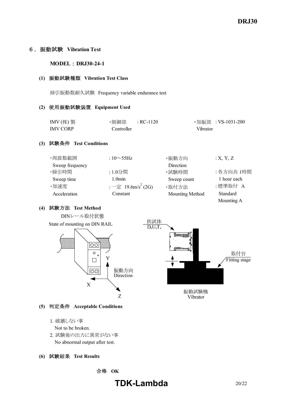#### 6.振動試験 **Vibration Test**

#### **MODEL : DRJ30-24-1**

#### **(1)** 振動試験種類 **Vibration Test Class**

掃引振動数耐久試験 Frequency variable endurance test

#### **(2)** 使用振動試験装置 **Equipment Used**

| IMV $($ 株) 製    | ・制御部       | $R$ C-1120 |          | ・加振部 :VS-1031-200 |
|-----------------|------------|------------|----------|-------------------|
| <b>IMV CORP</b> | Controller |            | Vibrator |                   |

#### **(3)** 試験条件 **Test Conditions**

| ・周波数範囲          | : $10\sim 55$ Hz                                   | ・振動方向           | :X, Y, Z    |
|-----------------|----------------------------------------------------|-----------------|-------------|
| Sweep frequency |                                                    | Direction       |             |
| ・掃引時間           | :1.0分間                                             | ・試験時間           | : 各方向共 1時間  |
| Sweep time      | 1.0 <sub>min</sub>                                 | Sweep count     | 1 hour each |
| ·加速度            | $:$ $ \bar{\mathcal{E}}$ 19.6m/s <sup>2</sup> (2G) | ·取付方法           | :標準取付 A     |
| Acceleration    | Constant                                           | Mounting Method | Standard    |
|                 |                                                    |                 | Mounting A  |

#### **(4)** 試験方法 **Test Method**



#### **(5)** 判定条件 **Acceptable Conditions**

- 1. 破壊しない事
	- Not to be broken.
- 2. 試験後の出力に異常がない事 No abnormal output after test.

#### **(6)** 試験結果 **Test Results**

合格 **OK**

# **TDK-Lambda** 20/22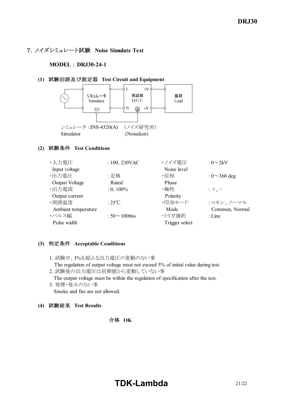## 7.ノイズシミュレート試験 **Noise Simulate Test**

#### **MODEL : DRJ30-24-1**

#### **(1)** 試験回路及び測定器 **Test Circuit and Equipment**



#### **(2)** 試験条件 **Test Conditions**

| ・入力電圧               | : $100, 230$ VAC    | ・ノイズ電圧         | : $0\sim2kV$       |
|---------------------|---------------------|----------------|--------------------|
| Input voltage       |                     | Noise level    |                    |
| ・出力電圧               | :定格                 | ・位相            | : $0 \sim 360$ deg |
| Output Voltage      | Rated               | Phase          |                    |
| ·出力電流               | $: 0, 100\%$        | ・極性            | $: +, -$           |
| Output current      |                     | Polarity       |                    |
| ·周囲温度               | : $25^{\circ}$ C    | ・印加モード         | :コモン、ノーマル          |
| Ambient temperature |                     | Mode           | Common, Normal     |
| ・パルス幅               | : $50 \sim 1000$ ns | ・トリガ選択         | $:$ Line           |
| Pulse width         |                     | Trigger select |                    |

#### **(3)** 判定条件 **Acceptable Conditions**

- 1. 試験中、5%を超える出力電圧の変動のない事 The regulation of output voltage must not exceed 5% of initial value during test.
- 2. 試験後の出力電圧は初期値から変動していない事 The output voltage must be within the regulation of specification after the test.
- 3. 発煙・発火のない事 Smoke and fire are not allowed.
- **(4)** 試験結果 **Test Results**

## 合格 **OK**

# **TDK-Lambda** 21/22